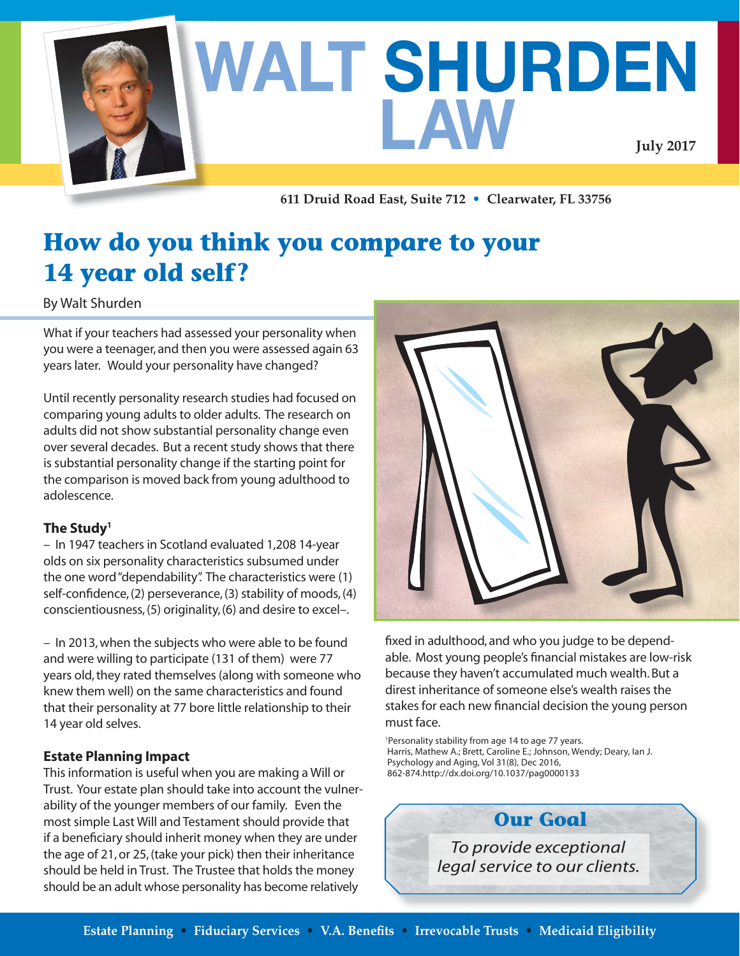

**611 Druid Road East, Suite 712 • Clearwater, FL 33756**

## **How do you think you compare to your 14 year old self?**

By Walt Shurden

What if your teachers had assessed your personality when you were a teenager, and then you were assessed again 63 years later. Would your personality have changed?

Until recently personality research studies had focused on comparing young adults to older adults. The research on adults did not show substantial personality change even over several decades. But a recent study shows that there is substantial personality change if the starting point for the comparison is moved back from young adulthood to adolescence.

#### **The Study1**

– In 1947 teachers in Scotland evaluated 1,208 14-year olds on six personality characteristics subsumed under the one word "dependability". The characteristics were (1) self-confidence, (2) perseverance, (3) stability of moods, (4) conscientiousness, (5) originality, (6) and desire to excel–.

– In 2013, when the subjects who were able to be found and were willing to participate (131 of them) were 77 years old, they rated themselves (along with someone who knew them well) on the same characteristics and found that their personality at 77 bore little relationship to their 14 year old selves.

#### **Estate Planning Impact**

This information is useful when you are making a Will or Trust. Your estate plan should take into account the vulnerability of the younger members of our family. Even the most simple Last Will and Testament should provide that if a beneficiary should inherit money when they are under the age of 21, or 25, (take your pick) then their inheritance should be held in Trust. The Trustee that holds the money should be an adult whose personality has become relatively



fixed in adulthood, and who you judge to be dependable. Most young people's financial mistakes are low-risk because they haven't accumulated much wealth. But a direst inheritance of someone else's wealth raises the stakes for each new financial decision the young person must face.

1 Personality stability from age 14 to age 77 years. Harris, Mathew A.; Brett, Caroline E.; Johnson, Wendy; Deary, Ian J. Psychology and Aging, Vol 31(8), Dec 2016, 862-874.http://dx.doi.org/10.1037/pag0000133

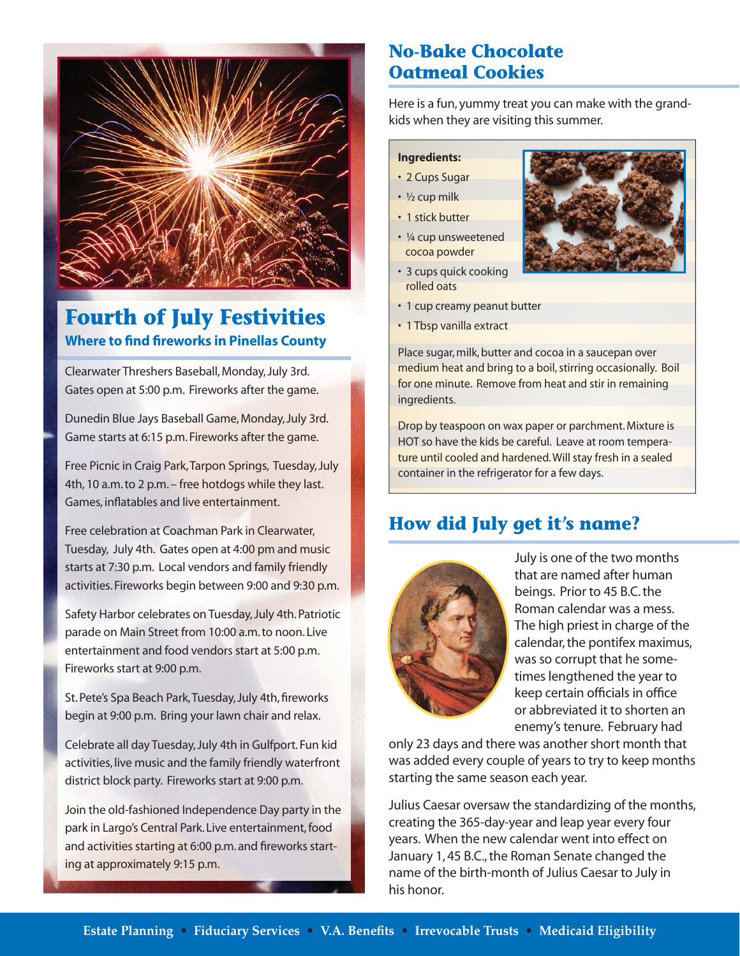

### **Where to find fireworks in Pinellas County Fourth of July Festivities**

Clearwater Threshers Baseball, Monday, July 3rd. Gates open at 5:00 p.m. Fireworks after the game.

Dunedin Blue Jays Baseball Game, Monday, July 3rd. Game starts at 6:15 p.m. Fireworks after the game.

Free Picnic in Craig Park, Tarpon Springs, Tuesday, July 4th, 10 a.m. to 2 p.m. – free hotdogs while they last. Games, inflatables and live entertainment.

Free celebration at Coachman Park in Clearwater, Tuesday, July 4th. Gates open at 4:00 pm and music starts at 7:30 p.m. Local vendors and family friendly activities. Fireworks begin between 9:00 and 9:30 p.m.

Safety Harbor celebrates on Tuesday, July 4th. Patriotic parade on Main Street from 10:00 a.m. to noon. Live entertainment and food vendors start at 5:00 p.m. Fireworks start at 9:00 p.m.

St. Pete's Spa Beach Park, Tuesday, July 4th, fireworks begin at 9:00 p.m. Bring your lawn chair and relax.

Celebrate all day Tuesday, July 4th in Gulfport. Fun kid activities, live music and the family friendly waterfront district block party. Fireworks start at 9:00 p.m.

Join the old-fashioned Independence Day party in the park in Largo's Central Park. Live entertainment, food and activities starting at 6:00 p.m. and fireworks starting at approximately 9:15 p.m.

### **No-Bake Chocolate Oatmeal Cookies**

Here is a fun, yummy treat you can make with the grandkids when they are visiting this summer.

#### **Ingredients:**

- 2 Cups Sugar
- ½ cup milk
- 1 stick butter
- ¼ cup unsweetened cocoa powder
- 3 cups quick cooking rolled oats



- 1 cup creamy peanut butter
- 1 Tbsp vanilla extract

Place sugar, milk, butter and cocoa in a saucepan over medium heat and bring to a boil, stirring occasionally. Boil for one minute. Remove from heat and stir in remaining ingredients.

Drop by teaspoon on wax paper or parchment. Mixture is HOT so have the kids be careful. Leave at room temperature until cooled and hardened. Will stay fresh in a sealed container in the refrigerator for a few days.

### **How did July get it's name?**



July is one of the two months that are named after human beings. Prior to 45 B.C. the Roman calendar was a mess. The high priest in charge of the calendar, the pontifex maximus, was so corrupt that he sometimes lengthened the year to keep certain officials in office or abbreviated it to shorten an enemy's tenure. February had

only 23 days and there was another short month that was added every couple of years to try to keep months starting the same season each year.

Julius Caesar oversaw the standardizing of the months, creating the 365-day-year and leap year every four years. When the new calendar went into effect on January 1, 45 B.C., the Roman Senate changed the name of the birth-month of Julius Caesar to July in his honor.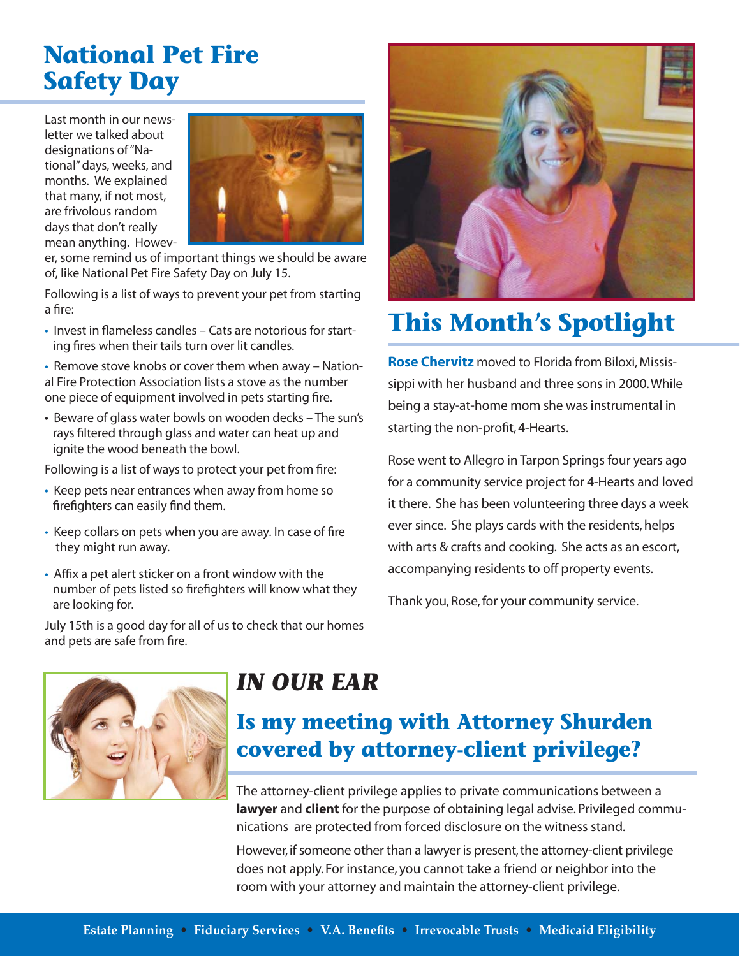## **National Pet Fire Safety Day**

Last month in our newsletter we talked about designations of "National" days, weeks, and months. We explained that many, if not most, are frivolous random days that don't really mean anything. Howev-



er, some remind us of important things we should be aware of, like National Pet Fire Safety Day on July 15.

Following is a list of ways to prevent your pet from starting a fire:

• Invest in flameless candles – Cats are notorious for starting fires when their tails turn over lit candles.

• Remove stove knobs or cover them when away – National Fire Protection Association lists a stove as the number one piece of equipment involved in pets starting fire.

• Beware of glass water bowls on wooden decks – The sun's rays filtered through glass and water can heat up and ignite the wood beneath the bowl.

Following is a list of ways to protect your pet from fire:

- Keep pets near entrances when away from home so firefighters can easily find them.
- Keep collars on pets when you are away. In case of fire they might run away.
- Affix a pet alert sticker on a front window with the number of pets listed so firefighters will know what they are looking for.

July 15th is a good day for all of us to check that our homes and pets are safe from fire.



## **This Month's Spotlight**

**Rose Chervitz** moved to Florida from Biloxi, Mississippi with her husband and three sons in 2000. While being a stay-at-home mom she was instrumental in starting the non-profit, 4-Hearts.

Rose went to Allegro in Tarpon Springs four years ago for a community service project for 4-Hearts and loved it there. She has been volunteering three days a week ever since. She plays cards with the residents, helps with arts & crafts and cooking. She acts as an escort, accompanying residents to off property events.

Thank you, Rose, for your community service.



## *IN OUR EAR*

**Is my meeting with Attorney Shurden covered by attorney-client privilege?**

The attorney-client privilege applies to private communications between a **lawyer** and **client** for the purpose of obtaining legal advise. Privileged communications are protected from forced disclosure on the witness stand.

However, if someone other than a lawyer is present, the attorney-client privilege does not apply. For instance, you cannot take a friend or neighbor into the room with your attorney and maintain the attorney-client privilege.